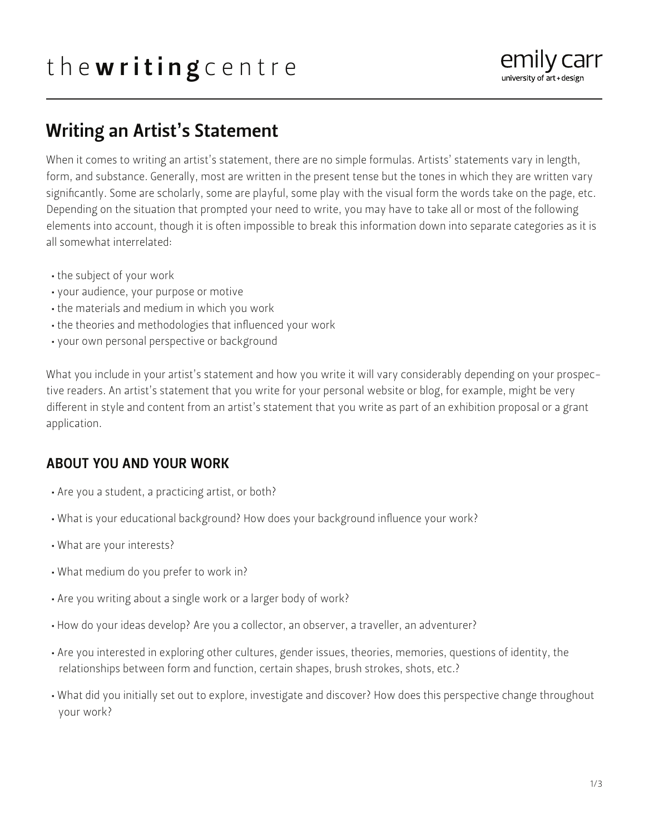# the writing centre



## Writing an Artist's Statement

When it comes to writing an artist's statement, there are no simple formulas. Artists' statements vary in length, form, and substance. Generally, most are written in the present tense but the tones in which they are written vary significantly. Some are scholarly, some are playful, some play with the visual form the words take on the page, etc. Depending on the situation that prompted your need to write, you may have to take all or most of the following elements into account, though it is often impossible to break this information down into separate categories as it is all somewhat interrelated:

- the subject of your work
- your audience, your purpose or motive
- the materials and medium in which you work
- the theories and methodologies that influenced your work
- your own personal perspective or background

What you include in your artist's statement and how you write it will vary considerably depending on your prospective readers. An artist's statement that you write for your personal website or blog, for example, might be very different in style and content from an artist's statement that you write as part of an exhibition proposal or a grant application.

#### ABOUT YOU AND YOUR WORK

- Are you a student, a practicing artist, or both?
- What is your educational background? How does your background influence your work?
- What are your interests?
- What medium do you prefer to work in?
- Are you writing about a single work or a larger body of work?
- How do your ideas develop? Are you a collector, an observer, a traveller, an adventurer?
- Are you interested in exploring other cultures, gender issues, theories, memories, questions of identity, the relationships between form and function, certain shapes, brush strokes, shots, etc.?
- What did you initially set out to explore, investigate and discover? How does this perspective change throughout your work?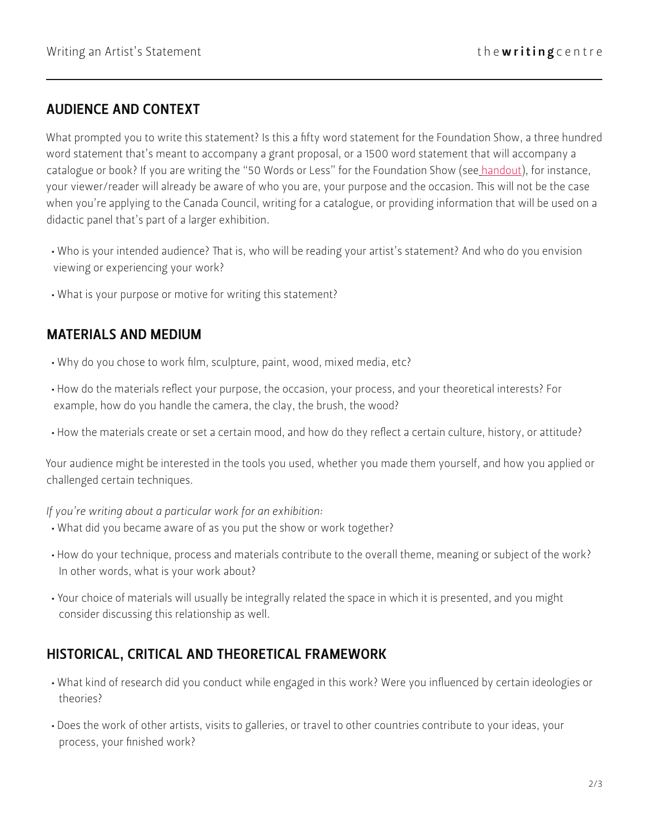#### AUDIENCE AND CONTEXT

What prompted you to write this statement? Is this a fifty word statement for the Foundation Show, a three hundred word statement that's meant to accompany a grant proposal, or a 1500 word statement that will accompany a catalogue or book? If you are writing the "50 Words or Less" for the Foundation Show (see handout), for instance, your viewer/reader will already be aware of who you are, your purpose and the occasion. This will not be the case when you're applying to the Canada Council, writing for a catalogue, or providing information that will be used on a didactic panel that's part of a larger exhibition.

- Who is your intended audience? That is, who will be reading your artist's statement? And who do you envision viewing or experiencing your work?
- What is your purpose or motive for writing this statement?

#### MATERIALS AND MEDIUM

- Why do you chose to work film, sculpture, paint, wood, mixed media, etc?
- How do the materials reflect your purpose, the occasion, your process, and your theoretical interests? For example, how do you handle the camera, the clay, the brush, the wood?
- How the materials create or set a certain mood, and how do they reflect a certain culture, history, or attitude?

Your audience might be interested in the tools you used, whether you made them yourself, and how you applied or challenged certain techniques.

*If you're writing about a particular work for an exhibition:* 

- What did you became aware of as you put the show or work together?
- How do your technique, process and materials contribute to the overall theme, meaning or subject of the work? In other words, what is your work about?
- Your choice of materials will usually be integrally related the space in which it is presented, and you might consider discussing this relationship as well.

#### HISTORICAL, CRITICAL AND THEORETICAL FRAMEWORK

- What kind of research did you conduct while engaged in this work? Were you influenced by certain ideologies or theories?
- Does the work of other artists, visits to galleries, or travel to other countries contribute to your ideas, your process, your finished work?